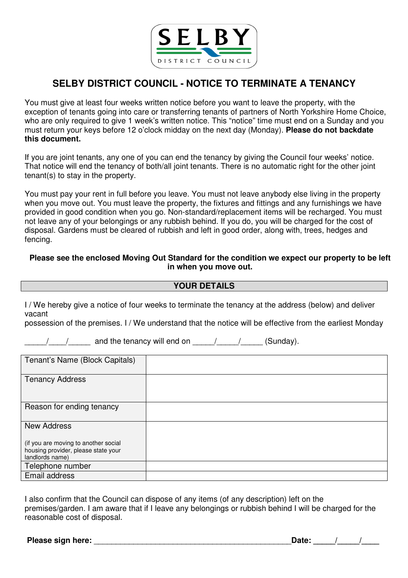

# **SELBY DISTRICT COUNCIL - NOTICE TO TERMINATE A TENANCY**

You must give at least four weeks written notice before you want to leave the property, with the exception of tenants going into care or transferring tenants of partners of North Yorkshire Home Choice, who are only required to give 1 week's written notice. This "notice" time must end on a Sunday and you must return your keys before 12 o'clock midday on the next day (Monday). **Please do not backdate this document.** 

If you are joint tenants, any one of you can end the tenancy by giving the Council four weeks' notice. That notice will end the tenancy of both/all joint tenants. There is no automatic right for the other joint tenant(s) to stay in the property.

You must pay your rent in full before you leave. You must not leave anybody else living in the property when you move out. You must leave the property, the fixtures and fittings and any furnishings we have provided in good condition when you go. Non-standard/replacement items will be recharged. You must not leave any of your belongings or any rubbish behind. If you do, you will be charged for the cost of disposal. Gardens must be cleared of rubbish and left in good order, along with, trees, hedges and fencing.

## **Please see the enclosed Moving Out Standard for the condition we expect our property to be left in when you move out.**

## **YOUR DETAILS**

I / We hereby give a notice of four weeks to terminate the tenancy at the address (below) and deliver vacant

possession of the premises. I / We understand that the notice will be effective from the earliest Monday

/ / and the tenancy will end on / / / (Sunday).

| Tenant's Name (Block Capitals)                                                                 |  |
|------------------------------------------------------------------------------------------------|--|
| <b>Tenancy Address</b>                                                                         |  |
| Reason for ending tenancy                                                                      |  |
| <b>New Address</b>                                                                             |  |
| (if you are moving to another social<br>housing provider, please state your<br>landlords name) |  |
| Telephone number                                                                               |  |
| Email address                                                                                  |  |

I also confirm that the Council can dispose of any items (of any description) left on the premises/garden. I am aware that if I leave any belongings or rubbish behind I will be charged for the reasonable cost of disposal.

**Please sign here:** \_\_\_\_\_\_\_\_\_\_\_\_\_\_\_\_\_\_\_\_\_\_\_\_\_\_\_\_\_\_\_\_\_\_\_\_\_\_\_\_\_\_\_\_\_**Date: \_\_\_\_\_/\_\_\_\_\_/\_\_\_\_**